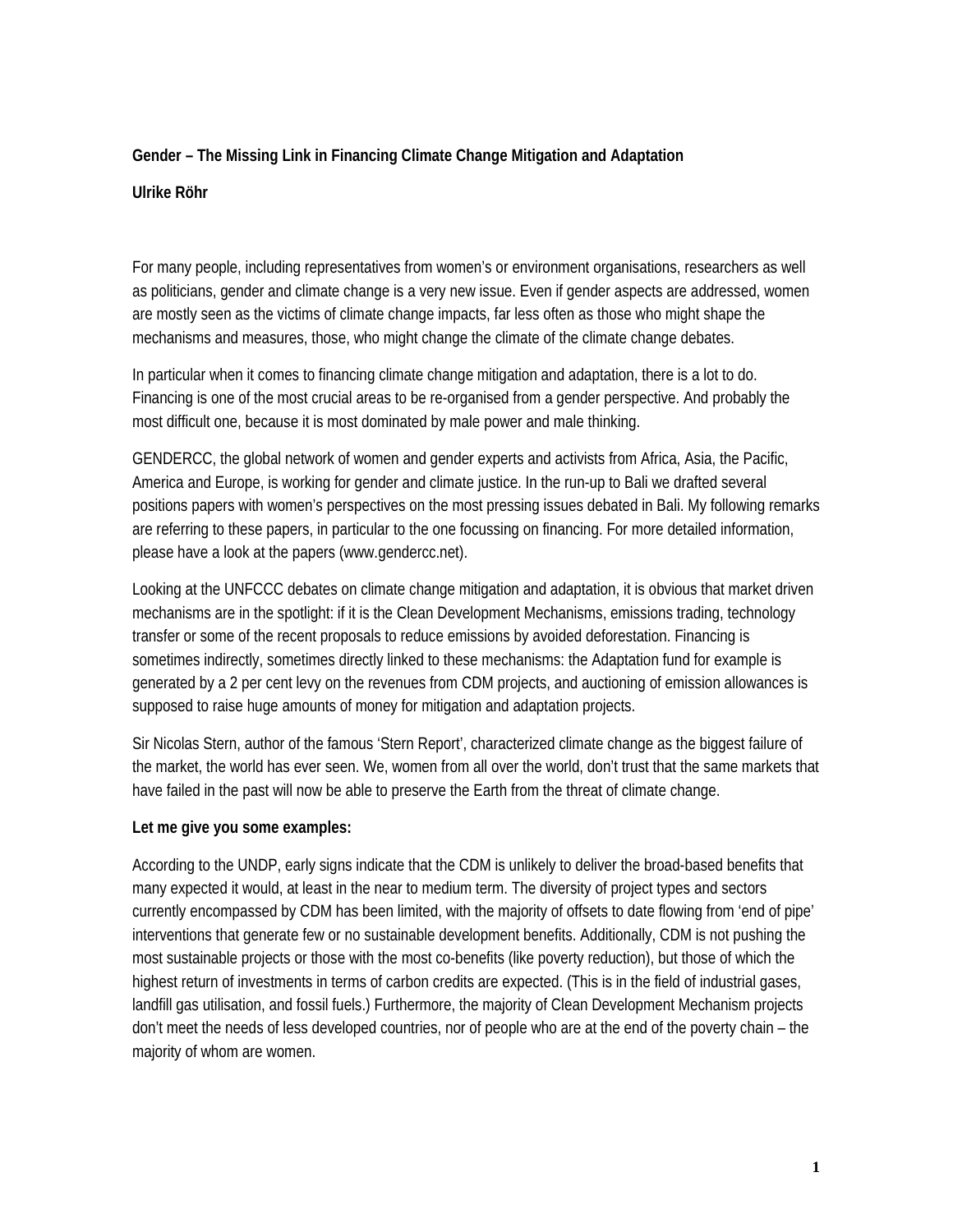## **Gender – The Missing Link in Financing Climate Change Mitigation and Adaptation**

## **Ulrike Röhr**

For many people, including representatives from women's or environment organisations, researchers as well as politicians, gender and climate change is a very new issue. Even if gender aspects are addressed, women are mostly seen as the victims of climate change impacts, far less often as those who might shape the mechanisms and measures, those, who might change the climate of the climate change debates.

In particular when it comes to financing climate change mitigation and adaptation, there is a lot to do. Financing is one of the most crucial areas to be re-organised from a gender perspective. And probably the most difficult one, because it is most dominated by male power and male thinking.

GENDERCC, the global network of women and gender experts and activists from Africa, Asia, the Pacific, America and Europe, is working for gender and climate justice. In the run-up to Bali we drafted several positions papers with women's perspectives on the most pressing issues debated in Bali. My following remarks are referring to these papers, in particular to the one focussing on financing. For more detailed information, please have a look at the papers (www.gendercc.net).

Looking at the UNFCCC debates on climate change mitigation and adaptation, it is obvious that market driven mechanisms are in the spotlight: if it is the Clean Development Mechanisms, emissions trading, technology transfer or some of the recent proposals to reduce emissions by avoided deforestation. Financing is sometimes indirectly, sometimes directly linked to these mechanisms: the Adaptation fund for example is generated by a 2 per cent levy on the revenues from CDM projects, and auctioning of emission allowances is supposed to raise huge amounts of money for mitigation and adaptation projects.

Sir Nicolas Stern, author of the famous 'Stern Report', characterized climate change as the biggest failure of the market, the world has ever seen. We, women from all over the world, don't trust that the same markets that have failed in the past will now be able to preserve the Earth from the threat of climate change.

## **Let me give you some examples:**

According to the UNDP, early signs indicate that the CDM is unlikely to deliver the broad-based benefits that many expected it would, at least in the near to medium term. The diversity of project types and sectors currently encompassed by CDM has been limited, with the majority of offsets to date flowing from 'end of pipe' interventions that generate few or no sustainable development benefits. Additionally, CDM is not pushing the most sustainable projects or those with the most co-benefits (like poverty reduction), but those of which the highest return of investments in terms of carbon credits are expected. (This is in the field of industrial gases, landfill gas utilisation, and fossil fuels.) Furthermore, the majority of Clean Development Mechanism projects don't meet the needs of less developed countries, nor of people who are at the end of the poverty chain – the majority of whom are women.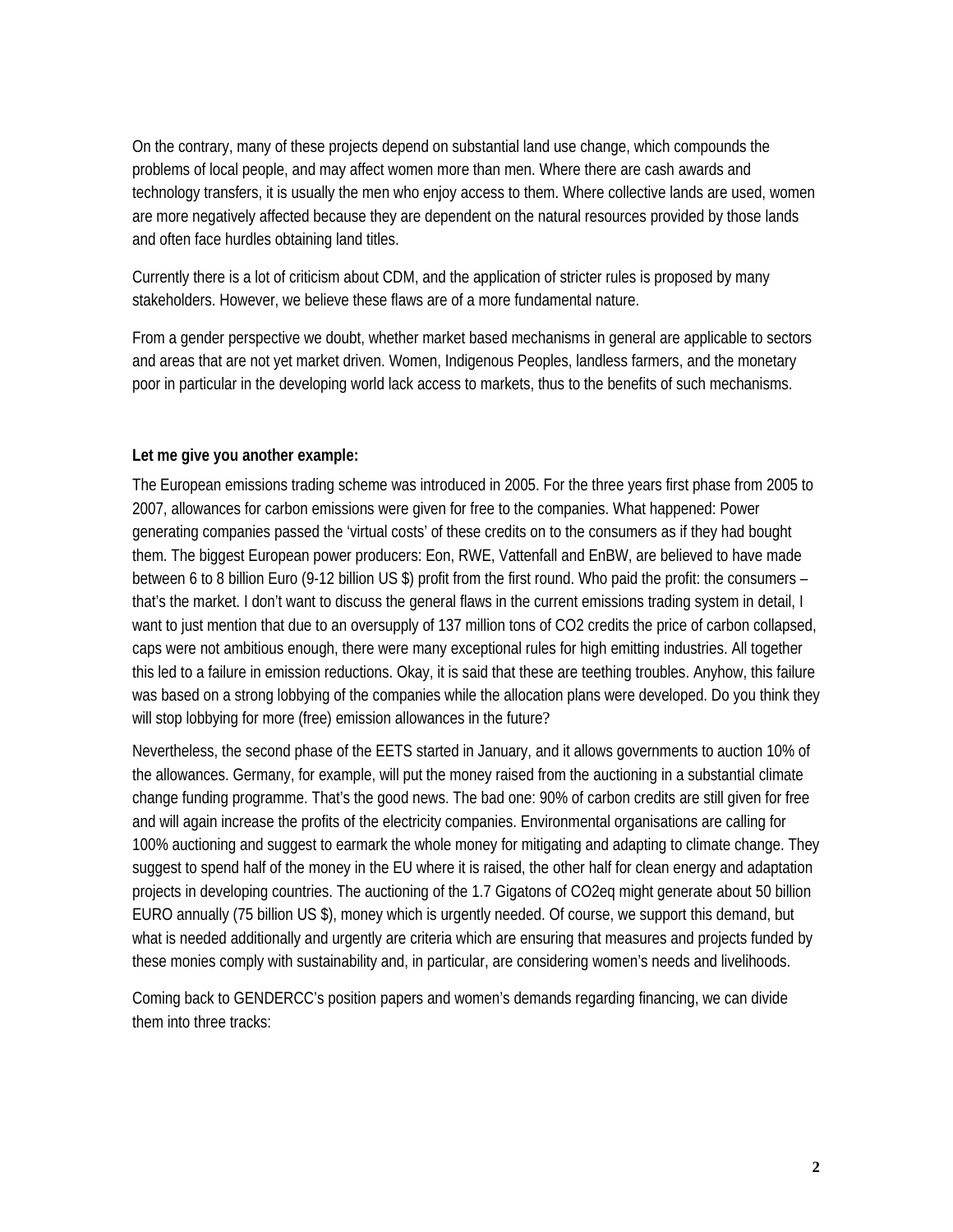On the contrary, many of these projects depend on substantial land use change, which compounds the problems of local people, and may affect women more than men. Where there are cash awards and technology transfers, it is usually the men who enjoy access to them. Where collective lands are used, women are more negatively affected because they are dependent on the natural resources provided by those lands and often face hurdles obtaining land titles.

Currently there is a lot of criticism about CDM, and the application of stricter rules is proposed by many stakeholders. However, we believe these flaws are of a more fundamental nature.

From a gender perspective we doubt, whether market based mechanisms in general are applicable to sectors and areas that are not yet market driven. Women, Indigenous Peoples, landless farmers, and the monetary poor in particular in the developing world lack access to markets, thus to the benefits of such mechanisms.

## **Let me give you another example:**

The European emissions trading scheme was introduced in 2005. For the three years first phase from 2005 to 2007, allowances for carbon emissions were given for free to the companies. What happened: Power generating companies passed the 'virtual costs' of these credits on to the consumers as if they had bought them. The biggest European power producers: Eon, RWE, Vattenfall and EnBW, are believed to have made between 6 to 8 billion Euro (9-12 billion US \$) profit from the first round. Who paid the profit: the consumers – that's the market. I don't want to discuss the general flaws in the current emissions trading system in detail, I want to just mention that due to an oversupply of 137 million tons of CO2 credits the price of carbon collapsed, caps were not ambitious enough, there were many exceptional rules for high emitting industries. All together this led to a failure in emission reductions. Okay, it is said that these are teething troubles. Anyhow, this failure was based on a strong lobbying of the companies while the allocation plans were developed. Do you think they will stop lobbying for more (free) emission allowances in the future?

Nevertheless, the second phase of the EETS started in January, and it allows governments to auction 10% of the allowances. Germany, for example, will put the money raised from the auctioning in a substantial climate change funding programme. That's the good news. The bad one: 90% of carbon credits are still given for free and will again increase the profits of the electricity companies. Environmental organisations are calling for 100% auctioning and suggest to earmark the whole money for mitigating and adapting to climate change. They suggest to spend half of the money in the EU where it is raised, the other half for clean energy and adaptation projects in developing countries. The auctioning of the 1.7 Gigatons of CO2eq might generate about 50 billion EURO annually (75 billion US \$), money which is urgently needed. Of course, we support this demand, but what is needed additionally and urgently are criteria which are ensuring that measures and projects funded by these monies comply with sustainability and, in particular, are considering women's needs and livelihoods.

Coming back to GENDERCC's position papers and women's demands regarding financing, we can divide them into three tracks: